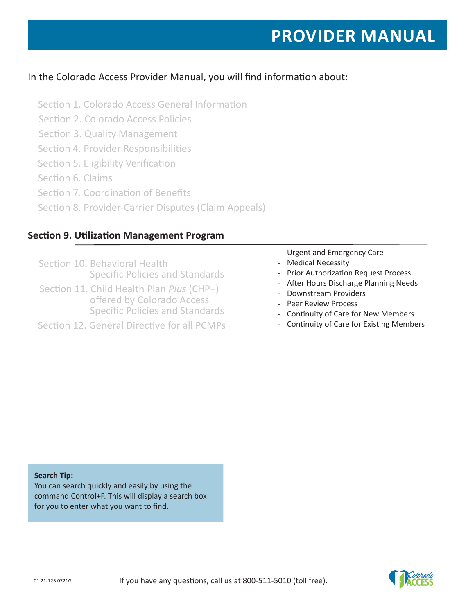# In the Colorado Access Provider Manual, you will find information about:

- Section 1. Colorado Access General Information
- Section 2. Colorado Access Policies
- Section 3. Quality Management
- Section 4. Provider Responsibilities
- Section 5. Eligibility Verification
- Section 6. Claims
- Section 7. Coordination of Benefits
- Section 8. Provider-Carrier Disputes (Claim Appeals)

# **Section 9. Utilization Management Program**

- Section 10. Behavioral Health Specific Policies and Standards
- Section 11. Child Health Plan *Plus* (CHP+) offered by Colorado Access Specific Policies and Standards
- Section 12. General Directive for all PCMPs
- Urgent and Emergency Care
- Medical Necessity
- Prior Authorization Request Process
- After Hours Discharge Planning Needs
- Downstream Providers
- Peer Review Process
- Continuity of Care for New Members
- Continuity of Care for Existing Members

#### **Search Tip:**

You can search quickly and easily by using the command Control+F. This will display a search box for you to enter what you want to find.

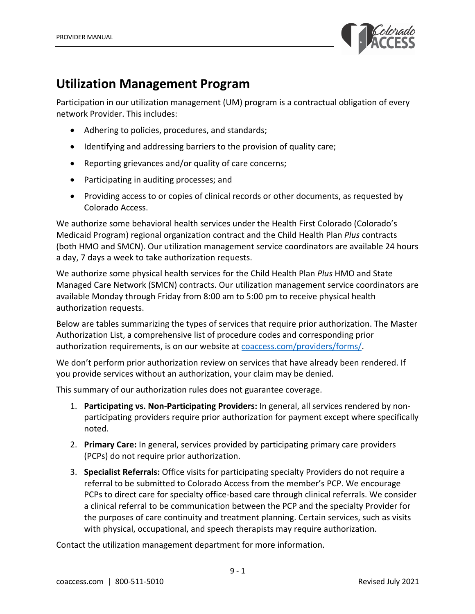

# **Utilization Management Program**

Participation in our utilization management (UM) program is a contractual obligation of every network Provider. This includes:

- Adhering to policies, procedures, and standards;
- Identifying and addressing barriers to the provision of quality care;
- Reporting grievances and/or quality of care concerns;
- Participating in auditing processes; and
- Providing access to or copies of clinical records or other documents, as requested by Colorado Access.

We authorize some behavioral health services under the Health First Colorado (Colorado's Medicaid Program) regional organization contract and the Child Health Plan *Plus* contracts (both HMO and SMCN). Our utilization management service coordinators are available 24 hours a day, 7 days a week to take authorization requests.

We authorize some physical health services for the Child Health Plan *Plus* HMO and State Managed Care Network (SMCN) contracts. Our utilization management service coordinators are available Monday through Friday from 8:00 am to 5:00 pm to receive physical health authorization requests.

Below are tables summarizing the types of services that require prior authorization. The Master Authorization List, a comprehensive list of procedure codes and corresponding prior authorization requirements, is on our website at coaccess.com/providers/forms/.

We don't perform prior authorization review on services that have already been rendered. If you provide services without an authorization, your claim may be denied.

This summary of our authorization rules does not guarantee coverage.

- 1. **Participating vs. Non-Participating Providers:** In general, all services rendered by nonparticipating providers require prior authorization for payment except where specifically noted.
- 2. **Primary Care:** In general, services provided by participating primary care providers (PCPs) do not require prior authorization.
- 3. **Specialist Referrals:** Office visits for participating specialty Providers do not require a referral to be submitted to Colorado Access from the member's PCP. We encourage PCPs to direct care for specialty office-based care through clinical referrals. We consider a clinical referral to be communication between the PCP and the specialty Provider for the purposes of care continuity and treatment planning. Certain services, such as visits with physical, occupational, and speech therapists may require authorization.

Contact the utilization management department for more information.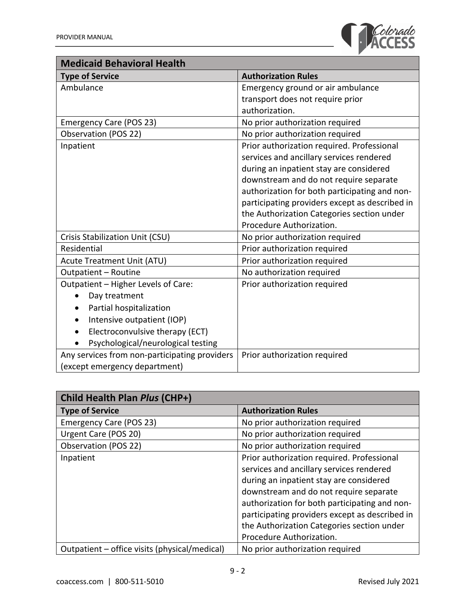

| <b>Medicaid Behavioral Health</b>             |                                                |
|-----------------------------------------------|------------------------------------------------|
| <b>Type of Service</b>                        | <b>Authorization Rules</b>                     |
| Ambulance                                     | Emergency ground or air ambulance              |
|                                               | transport does not require prior               |
|                                               | authorization.                                 |
| <b>Emergency Care (POS 23)</b>                | No prior authorization required                |
| Observation (POS 22)                          | No prior authorization required                |
| Inpatient                                     | Prior authorization required. Professional     |
|                                               | services and ancillary services rendered       |
|                                               | during an inpatient stay are considered        |
|                                               | downstream and do not require separate         |
|                                               | authorization for both participating and non-  |
|                                               | participating providers except as described in |
|                                               | the Authorization Categories section under     |
|                                               | Procedure Authorization.                       |
| Crisis Stabilization Unit (CSU)               | No prior authorization required                |
| Residential                                   | Prior authorization required                   |
| <b>Acute Treatment Unit (ATU)</b>             | Prior authorization required                   |
| Outpatient - Routine                          | No authorization required                      |
| Outpatient - Higher Levels of Care:           | Prior authorization required                   |
| Day treatment                                 |                                                |
| Partial hospitalization<br>$\bullet$          |                                                |
| Intensive outpatient (IOP)                    |                                                |
| Electroconvulsive therapy (ECT)               |                                                |
| Psychological/neurological testing            |                                                |
| Any services from non-participating providers | Prior authorization required                   |
| (except emergency department)                 |                                                |

| Child Health Plan Plus (CHP+)                 |                                                |
|-----------------------------------------------|------------------------------------------------|
| <b>Type of Service</b>                        | <b>Authorization Rules</b>                     |
| <b>Emergency Care (POS 23)</b>                | No prior authorization required                |
| Urgent Care (POS 20)                          | No prior authorization required                |
| Observation (POS 22)                          | No prior authorization required                |
| Inpatient                                     | Prior authorization required. Professional     |
|                                               | services and ancillary services rendered       |
|                                               | during an inpatient stay are considered        |
|                                               | downstream and do not require separate         |
|                                               | authorization for both participating and non-  |
|                                               | participating providers except as described in |
|                                               | the Authorization Categories section under     |
|                                               | Procedure Authorization.                       |
| Outpatient – office visits (physical/medical) | No prior authorization required                |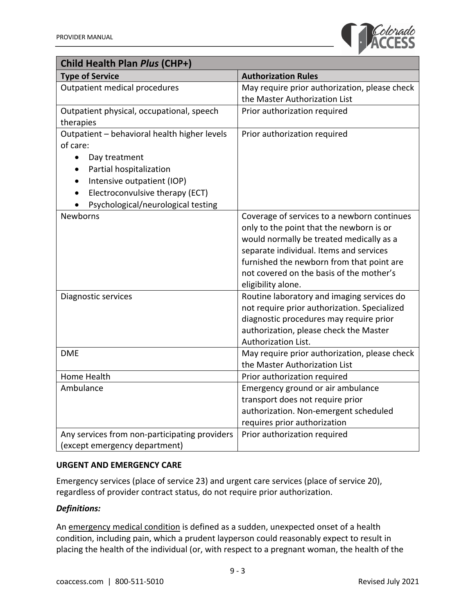

| Child Health Plan Plus (CHP+)                 |                                                                                |
|-----------------------------------------------|--------------------------------------------------------------------------------|
| <b>Type of Service</b>                        | <b>Authorization Rules</b>                                                     |
| Outpatient medical procedures                 | May require prior authorization, please check                                  |
|                                               | the Master Authorization List                                                  |
| Outpatient physical, occupational, speech     | Prior authorization required                                                   |
| therapies                                     |                                                                                |
| Outpatient - behavioral health higher levels  | Prior authorization required                                                   |
| of care:                                      |                                                                                |
| Day treatment<br>$\bullet$                    |                                                                                |
| Partial hospitalization                       |                                                                                |
| Intensive outpatient (IOP)<br>$\bullet$       |                                                                                |
| Electroconvulsive therapy (ECT)<br>$\bullet$  |                                                                                |
| Psychological/neurological testing            |                                                                                |
| Newborns                                      | Coverage of services to a newborn continues                                    |
|                                               | only to the point that the newborn is or                                       |
|                                               | would normally be treated medically as a                                       |
|                                               | separate individual. Items and services                                        |
|                                               | furnished the newborn from that point are                                      |
|                                               | not covered on the basis of the mother's                                       |
|                                               | eligibility alone.                                                             |
| Diagnostic services                           | Routine laboratory and imaging services do                                     |
|                                               | not require prior authorization. Specialized                                   |
|                                               | diagnostic procedures may require prior                                        |
|                                               | authorization, please check the Master                                         |
| <b>DME</b>                                    | Authorization List.                                                            |
|                                               | May require prior authorization, please check<br>the Master Authorization List |
| Home Health                                   | Prior authorization required                                                   |
| Ambulance                                     | Emergency ground or air ambulance                                              |
|                                               | transport does not require prior                                               |
|                                               | authorization. Non-emergent scheduled                                          |
|                                               | requires prior authorization                                                   |
| Any services from non-participating providers | Prior authorization required                                                   |
| (except emergency department)                 |                                                                                |

# **URGENT AND EMERGENCY CARE**

Emergency services (place of service 23) and urgent care services (place of service 20), regardless of provider contract status, do not require prior authorization.

## *Definitions:*

An emergency medical condition is defined as a sudden, unexpected onset of a health condition, including pain, which a prudent layperson could reasonably expect to result in placing the health of the individual (or, with respect to a pregnant woman, the health of the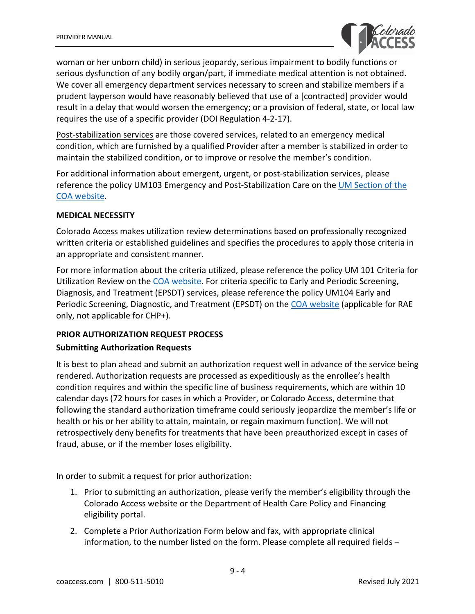

woman or her unborn child) in serious jeopardy, serious impairment to bodily functions or serious dysfunction of any bodily organ/part, if immediate medical attention is not obtained. We cover all emergency department services necessary to screen and stabilize members if a prudent layperson would have reasonably believed that use of a [contracted] provider would result in a delay that would worsen the emergency; or a provision of federal, state, or local law requires the use of a specific provider (DOI Regulation 4-2-17).

Post-stabilization services are those covered services, related to an emergency medical condition, which are furnished by a qualified Provider after a member is stabilized in order to maintain the stabilized condition, or to improve or resolve the member's condition.

For additional information about emergent, urgent, or post-stabilization services, please reference the policy UM103 Emergency and Post-Stabilization Care on the UM Section of the COA website.

#### **MEDICAL NECESSITY**

Colorado Access makes utilization review determinations based on professionally recognized written criteria or established guidelines and specifies the procedures to apply those criteria in an appropriate and consistent manner.

For more information about the criteria utilized, please reference the policy UM 101 Criteria for Utilization Review on the COA website. For criteria specific to Early and Periodic Screening, Diagnosis, and Treatment (EPSDT) services, please reference the policy UM104 Early and Periodic Screening, Diagnostic, and Treatment (EPSDT) on the COA website (applicable for RAE only, not applicable for CHP+).

# **PRIOR AUTHORIZATION REQUEST PROCESS Submitting Authorization Requests**

It is best to plan ahead and submit an authorization request well in advance of the service being rendered. Authorization requests are processed as expeditiously as the enrollee's health condition requires and within the specific line of business requirements, which are within 10 calendar days (72 hours for cases in which a Provider, or Colorado Access, determine that following the standard authorization timeframe could seriously jeopardize the member's life or health or his or her ability to attain, maintain, or regain maximum function). We will not retrospectively deny benefits for treatments that have been preauthorized except in cases of fraud, abuse, or if the member loses eligibility.

In order to submit a request for prior authorization:

- 1. Prior to submitting an authorization, please verify the member's eligibility through the Colorado Access website or the Department of Health Care Policy and Financing eligibility portal.
- 2. Complete a Prior Authorization Form below and fax, with appropriate clinical information, to the number listed on the form. Please complete all required fields –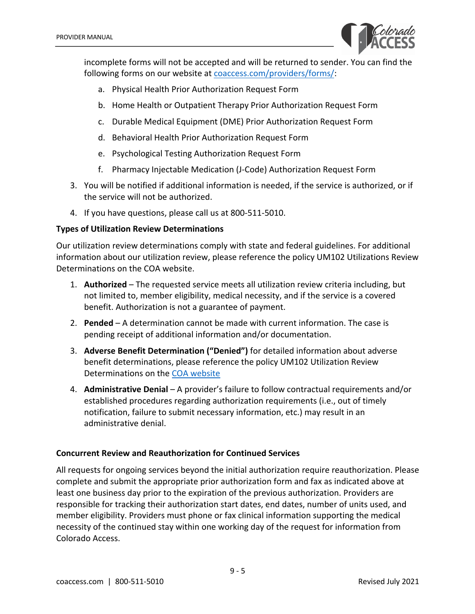

incomplete forms will not be accepted and will be returned to sender. You can find the following forms on our website at coaccess.com/providers/forms/:

- a. Physical Health Prior Authorization Request Form
- b. Home Health or Outpatient Therapy Prior Authorization Request Form
- c. Durable Medical Equipment (DME) Prior Authorization Request Form
- d. Behavioral Health Prior Authorization Request Form
- e. Psychological Testing Authorization Request Form
- f. Pharmacy Injectable Medication (J-Code) Authorization Request Form
- 3. You will be notified if additional information is needed, if the service is authorized, or if the service will not be authorized.
- 4. If you have questions, please call us at 800-511-5010.

## **Types of Utilization Review Determinations**

Our utilization review determinations comply with state and federal guidelines. For additional information about our utilization review, please reference the policy UM102 Utilizations Review Determinations on the COA website.

- 1. **Authorized**  The requested service meets all utilization review criteria including, but not limited to, member eligibility, medical necessity, and if the service is a covered benefit. Authorization is not a guarantee of payment.
- 2. **Pended** A determination cannot be made with current information. The case is pending receipt of additional information and/or documentation.
- 3. **Adverse Benefit Determination ("Denied")** for detailed information about adverse benefit determinations, please reference the policy UM102 Utilization Review Determinations on the COA website
- 4. **Administrative Denial** A provider's failure to follow contractual requirements and/or established procedures regarding authorization requirements (i.e., out of timely notification, failure to submit necessary information, etc.) may result in an administrative denial.

# **Concurrent Review and Reauthorization for Continued Services**

All requests for ongoing services beyond the initial authorization require reauthorization. Please complete and submit the appropriate prior authorization form and fax as indicated above at least one business day prior to the expiration of the previous authorization. Providers are responsible for tracking their authorization start dates, end dates, number of units used, and member eligibility. Providers must phone or fax clinical information supporting the medical necessity of the continued stay within one working day of the request for information from Colorado Access.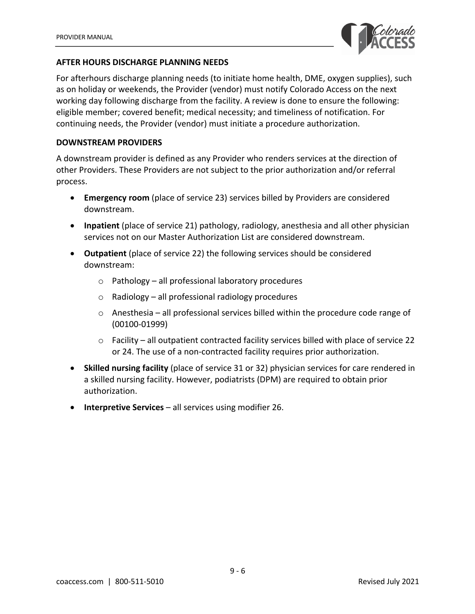

#### **AFTER HOURS DISCHARGE PLANNING NEEDS**

For afterhours discharge planning needs (to initiate home health, DME, oxygen supplies), such as on holiday or weekends, the Provider (vendor) must notify Colorado Access on the next working day following discharge from the facility. A review is done to ensure the following: eligible member; covered benefit; medical necessity; and timeliness of notification. For continuing needs, the Provider (vendor) must initiate a procedure authorization.

#### **DOWNSTREAM PROVIDERS**

A downstream provider is defined as any Provider who renders services at the direction of other Providers. These Providers are not subject to the prior authorization and/or referral process.

- **Emergency room** (place of service 23) services billed by Providers are considered downstream.
- **Inpatient** (place of service 21) pathology, radiology, anesthesia and all other physician services not on our Master Authorization List are considered downstream.
- **Outpatient** (place of service 22) the following services should be considered downstream:
	- o Pathology all professional laboratory procedures
	- $\circ$  Radiology all professional radiology procedures
	- $\circ$  Anesthesia all professional services billed within the procedure code range of (00100-01999)
	- $\circ$  Facility all outpatient contracted facility services billed with place of service 22 or 24. The use of a non-contracted facility requires prior authorization.
- **Skilled nursing facility** (place of service 31 or 32) physician services for care rendered in a skilled nursing facility. However, podiatrists (DPM) are required to obtain prior authorization.
- **Interpretive Services** all services using modifier 26.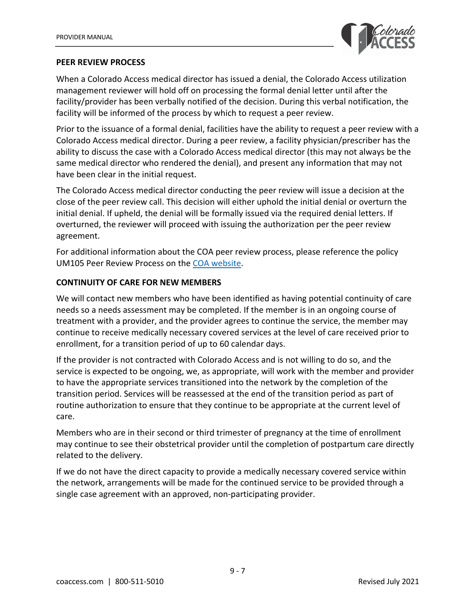

#### **PEER REVIEW PROCESS**

When a Colorado Access medical director has issued a denial, the Colorado Access utilization management reviewer will hold off on processing the formal denial letter until after the facility/provider has been verbally notified of the decision. During this verbal notification, the facility will be informed of the process by which to request a peer review.

Prior to the issuance of a formal denial, facilities have the ability to request a peer review with a Colorado Access medical director. During a peer review, a facility physician/prescriber has the ability to discuss the case with a Colorado Access medical director (this may not always be the same medical director who rendered the denial), and present any information that may not have been clear in the initial request.

The Colorado Access medical director conducting the peer review will issue a decision at the close of the peer review call. This decision will either uphold the initial denial or overturn the initial denial. If upheld, the denial will be formally issued via the required denial letters. If overturned, the reviewer will proceed with issuing the authorization per the peer review agreement.

For additional information about the COA peer review process, please reference the policy UM105 Peer Review Process on the COA website.

## **CONTINUITY OF CARE FOR NEW MEMBERS**

We will contact new members who have been identified as having potential continuity of care needs so a needs assessment may be completed. If the member is in an ongoing course of treatment with a provider, and the provider agrees to continue the service, the member may continue to receive medically necessary covered services at the level of care received prior to enrollment, for a transition period of up to 60 calendar days.

If the provider is not contracted with Colorado Access and is not willing to do so, and the service is expected to be ongoing, we, as appropriate, will work with the member and provider to have the appropriate services transitioned into the network by the completion of the transition period. Services will be reassessed at the end of the transition period as part of routine authorization to ensure that they continue to be appropriate at the current level of care.

Members who are in their second or third trimester of pregnancy at the time of enrollment may continue to see their obstetrical provider until the completion of postpartum care directly related to the delivery.

If we do not have the direct capacity to provide a medically necessary covered service within the network, arrangements will be made for the continued service to be provided through a single case agreement with an approved, non-participating provider.